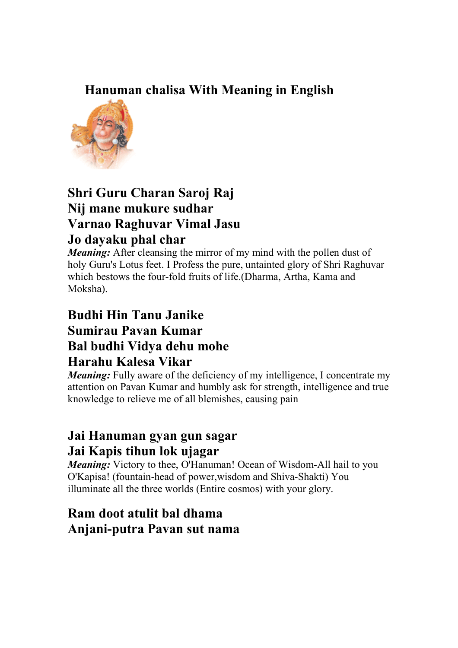### **Hanuman chalisa With Meaning in English**



#### **Shri Guru Charan Saroj Raj Nij mane mukure sudhar Varnao Raghuvar Vimal Jasu Jo dayaku phal char**

*Meaning:* After cleansing the mirror of my mind with the pollen dust of holy Guru's Lotus feet. I Profess the pure, untainted glory of Shri Raghuvar which bestows the four-fold fruits of life.(Dharma, Artha, Kama and Moksha).

#### **Budhi Hin Tanu Janike Sumirau Pavan Kumar Bal budhi Vidya dehu mohe Harahu Kalesa Vikar**

*Meaning:* Fully aware of the deficiency of my intelligence, I concentrate my attention on Pavan Kumar and humbly ask for strength, intelligence and true knowledge to relieve me of all blemishes, causing pain

# **Jai Hanuman gyan gun sagar Jai Kapis tihun lok ujagar**

*Meaning:* Victory to thee, O'Hanuman! Ocean of Wisdom-All hail to you O'Kapisa! (fountain-head of power,wisdom and Shiva-Shakti) You illuminate all the three worlds (Entire cosmos) with your glory.

# **Ram doot atulit bal dhama Anjani-putra Pavan sut nama**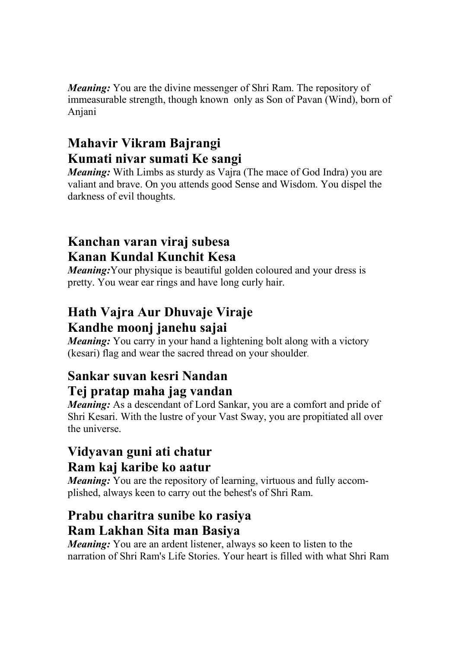*Meaning:* You are the divine messenger of Shri Ram. The repository of immeasurable strength, though known only as Son of Pavan (Wind), born of Anjani

# **Mahavir Vikram Bajrangi Kumati nivar sumati Ke sangi**

*Meaning:* With Limbs as sturdy as Vajra (The mace of God Indra) you are valiant and brave. On you attends good Sense and Wisdom. You dispel the darkness of evil thoughts.

# **Kanchan varan viraj subesa Kanan Kundal Kunchit Kesa**

*Meaning*: Your physique is beautiful golden coloured and your dress is pretty. You wear ear rings and have long curly hair.

# **Hath Vajra Aur Dhuvaje Viraje Kandhe moonj janehu sajai**

*Meaning*: You carry in your hand a lightening bolt along with a victory (kesari) flag and wear the sacred thread on your shoulder.

#### **Sankar suvan kesri Nandan Tej pratap maha jag vandan**

*Meaning:* As a descendant of Lord Sankar, you are a comfort and pride of Shri Kesari. With the lustre of your Vast Sway, you are propitiated all over the universe.

# **Vidyavan guni ati chatur Ram kaj karibe ko aatur**

*Meaning:* You are the repository of learning, virtuous and fully accomplished, always keen to carry out the behest's of Shri Ram.

# **Prabu charitra sunibe ko rasiya Ram Lakhan Sita man Basiya**

*Meaning:* You are an ardent listener, always so keen to listen to the narration of Shri Ram's Life Stories. Your heart is filled with what Shri Ram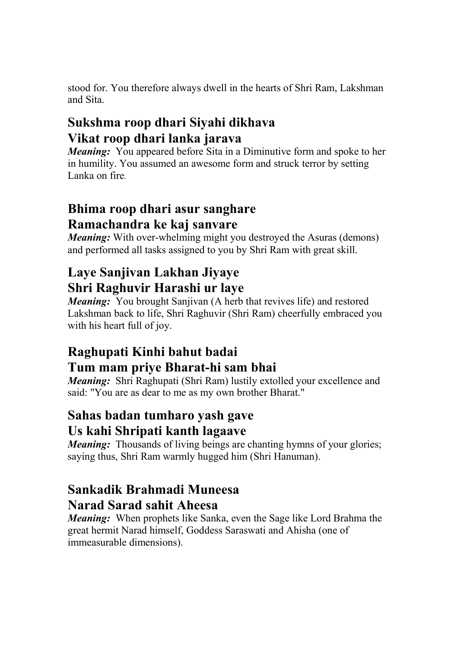stood for. You therefore always dwell in the hearts of Shri Ram, Lakshman and Sita.

# **Sukshma roop dhari Siyahi dikhava Vikat roop dhari lanka jarava**

*Meaning:* You appeared before Sita in a Diminutive form and spoke to her in humility. You assumed an awesome form and struck terror by setting Lanka on fire.

# **Bhima roop dhari asur sanghare Ramachandra ke kaj sanvare**

*Meaning*: With over-whelming might you destroyed the Asuras (demons) and performed all tasks assigned to you by Shri Ram with great skill.

# **Laye Sanjivan Lakhan Jiyaye Shri Raghuvir Harashi ur laye**

*Meaning:* You brought Sanjivan (A herb that revives life) and restored Lakshman back to life, Shri Raghuvir (Shri Ram) cheerfully embraced you with his heart full of joy.

# **Raghupati Kinhi bahut badai Tum mam priye Bharat-hi sam bhai**

*Meaning*: Shri Raghupati (Shri Ram) lustily extolled your excellence and said: "You are as dear to me as my own brother Bharat."

# **Sahas badan tumharo yash gave Us kahi Shripati kanth lagaave**

*Meaning:* Thousands of living beings are chanting hymns of your glories; saying thus, Shri Ram warmly hugged him (Shri Hanuman).

# **Sankadik Brahmadi Muneesa Narad Sarad sahit Aheesa**

*Meaning:* When prophets like Sanka, even the Sage like Lord Brahma the great hermit Narad himself, Goddess Saraswati and Ahisha (one of immeasurable dimensions).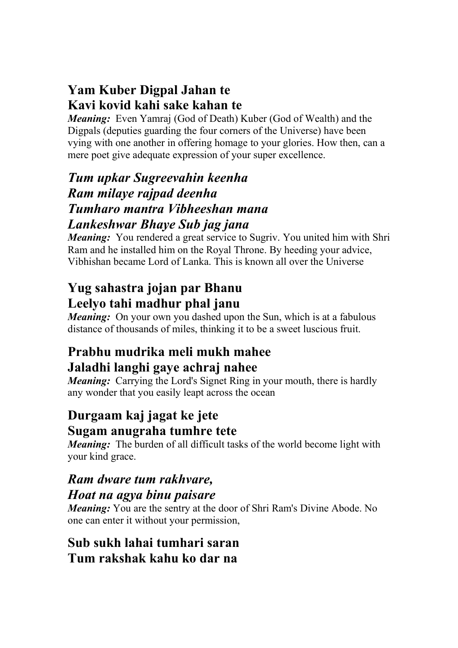# **Yam Kuber Digpal Jahan te Kavi kovid kahi sake kahan te**

*Meaning:* Even Yamraj (God of Death) Kuber (God of Wealth) and the Digpals (deputies guarding the four corners of the Universe) have been vying with one another in offering homage to your glories. How then, can a mere poet give adequate expression of your super excellence.

#### *Tum upkar Sugreevahin keenha Ram milaye rajpad deenha Tumharo mantra Vibheeshan mana Lankeshwar Bhaye Sub jag jana*

*Meaning*: You rendered a great service to Sugriv. You united him with Shri Ram and he installed him on the Royal Throne. By heeding your advice, Vibhishan became Lord of Lanka. This is known all over the Universe

### **Yug sahastra jojan par Bhanu Leelyo tahi madhur phal janu**

*Meaning:* On your own you dashed upon the Sun, which is at a fabulous distance of thousands of miles, thinking it to be a sweet luscious fruit.

# **Prabhu mudrika meli mukh mahee Jaladhi langhi gaye achraj nahee**

*Meaning:* Carrying the Lord's Signet Ring in your mouth, there is hardly any wonder that you easily leapt across the ocean

# **Durgaam kaj jagat ke jete Sugam anugraha tumhre tete**

*Meaning:* The burden of all difficult tasks of the world become light with your kind grace.

# *Ram dware tum rakhvare, Hoat na agya binu paisare*

*Meaning:* You are the sentry at the door of Shri Ram's Divine Abode. No one can enter it without your permission,

#### **Sub sukh lahai tumhari saran Tum rakshak kahu ko dar na**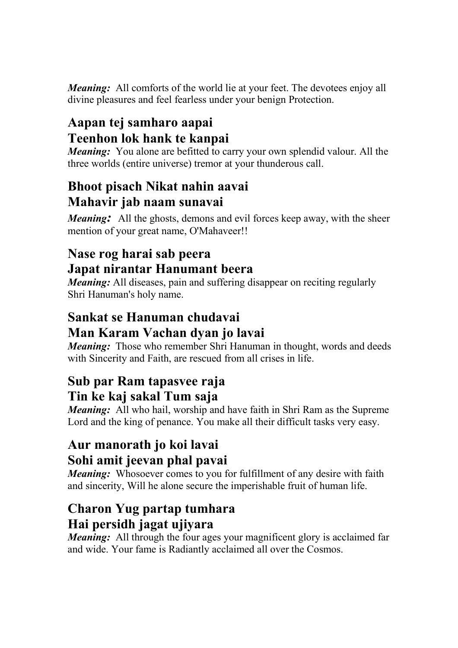*Meaning:* All comforts of the world lie at your feet. The devotees enjoy all divine pleasures and feel fearless under your benign Protection.

# **Aapan tej samharo aapai Teenhon lok hank te kanpai**

*Meaning:* You alone are befitted to carry your own splendid valour. All the three worlds (entire universe) tremor at your thunderous call.

# **Bhoot pisach Nikat nahin aavai Mahavir jab naam sunavai**

*Meaning*: All the ghosts, demons and evil forces keep away, with the sheer mention of your great name, O'Mahaveer!!

# **Nase rog harai sab peera Japat nirantar Hanumant beera**

*Meaning:* All diseases, pain and suffering disappear on reciting regularly Shri Hanuman's holy name.

# **Sankat se Hanuman chudavai Man Karam Vachan dyan jo lavai**

*Meaning:* Those who remember Shri Hanuman in thought, words and deeds with Sincerity and Faith, are rescued from all crises in life.

# **Sub par Ram tapasvee raja**

#### **Tin ke kaj sakal Tum saja**

*Meaning*: All who hail, worship and have faith in Shri Ram as the Supreme Lord and the king of penance. You make all their difficult tasks very easy.

# **Aur manorath jo koi lavai Sohi amit jeevan phal pavai**

*Meaning:* Whosoever comes to you for fulfillment of any desire with faith and sincerity, Will he alone secure the imperishable fruit of human life.

#### **Charon Yug partap tumhara Hai persidh jagat ujiyara**

*Meaning*: All through the four ages your magnificent glory is acclaimed far and wide. Your fame is Radiantly acclaimed all over the Cosmos.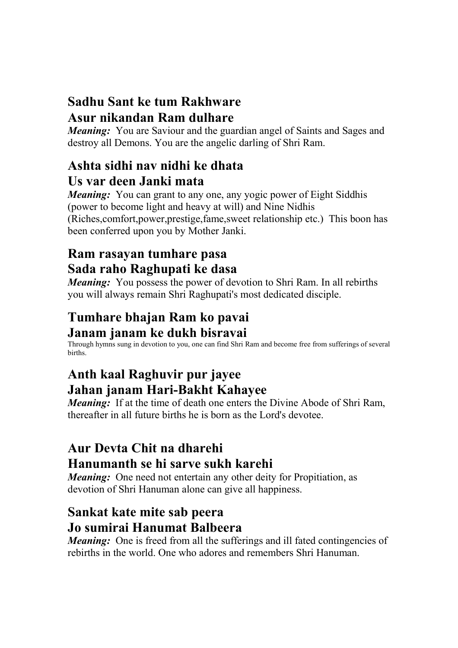#### **Sadhu Sant ke tum Rakhware Asur nikandan Ram dulhare**

*Meaning:* You are Saviour and the guardian angel of Saints and Sages and destroy all Demons. You are the angelic darling of Shri Ram.

### **Ashta sidhi nav nidhi ke dhata Us var deen Janki mata**

*Meaning*: You can grant to any one, any yogic power of Eight Siddhis (power to become light and heavy at will) and Nine Nidhis (Riches,comfort,power,prestige,fame,sweet relationship etc.) This boon has been conferred upon you by Mother Janki.

# **Ram rasayan tumhare pasa Sada raho Raghupati ke dasa**

*Meaning:* You possess the power of devotion to Shri Ram. In all rebirths you will always remain Shri Raghupati's most dedicated disciple.

# **Tumhare bhajan Ram ko pavai Janam janam ke dukh bisravai**

Through hymns sung in devotion to you, one can find Shri Ram and become free from sufferings of several births.

# **Anth kaal Raghuvir pur jayee Jahan janam Hari-Bakht Kahayee**

*Meaning*: If at the time of death one enters the Divine Abode of Shri Ram, thereafter in all future births he is born as the Lord's devotee.

# **Aur Devta Chit na dharehi Hanumanth se hi sarve sukh karehi**

*Meaning:* One need not entertain any other deity for Propitiation, as devotion of Shri Hanuman alone can give all happiness.

# **Sankat kate mite sab peera Jo sumirai Hanumat Balbeera**

*Meaning:* One is freed from all the sufferings and ill fated contingencies of rebirths in the world. One who adores and remembers Shri Hanuman.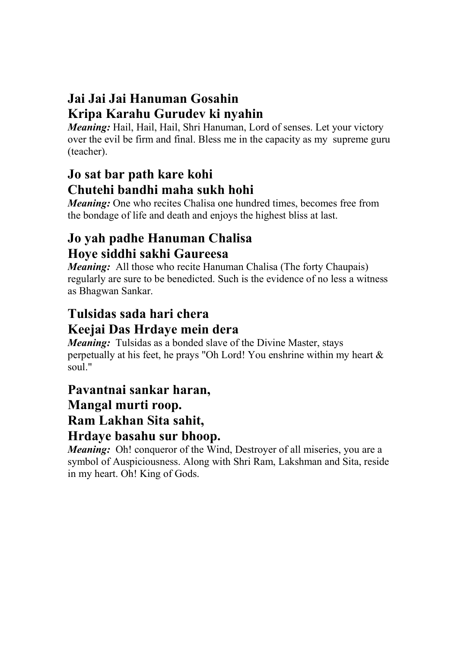# **Jai Jai Jai Hanuman Gosahin Kripa Karahu Gurudev ki nyahin**

*Meaning:* Hail, Hail, Hail, Shri Hanuman, Lord of senses. Let your victory over the evil be firm and final. Bless me in the capacity as my supreme guru (teacher).

# **Jo sat bar path kare kohi Chutehi bandhi maha sukh hohi**

*Meaning:* One who recites Chalisa one hundred times, becomes free from the bondage of life and death and enjoys the highest bliss at last.

# **Jo yah padhe Hanuman Chalisa Hoye siddhi sakhi Gaureesa**

*Meaning*: All those who recite Hanuman Chalisa (The forty Chaupais) regularly are sure to be benedicted. Such is the evidence of no less a witness as Bhagwan Sankar.

# **Tulsidas sada hari chera Keejai Das Hrdaye mein dera**

*Meaning:* Tulsidas as a bonded slave of the Divine Master, stays perpetually at his feet, he prays "Oh Lord! You enshrine within my heart & soul."

# **Pavantnai sankar haran, Mangal murti roop. Ram Lakhan Sita sahit, Hrdaye basahu sur bhoop.**

*Meaning:* Oh! conqueror of the Wind, Destroyer of all miseries, you are a symbol of Auspiciousness. Along with Shri Ram, Lakshman and Sita, reside in my heart. Oh! King of Gods.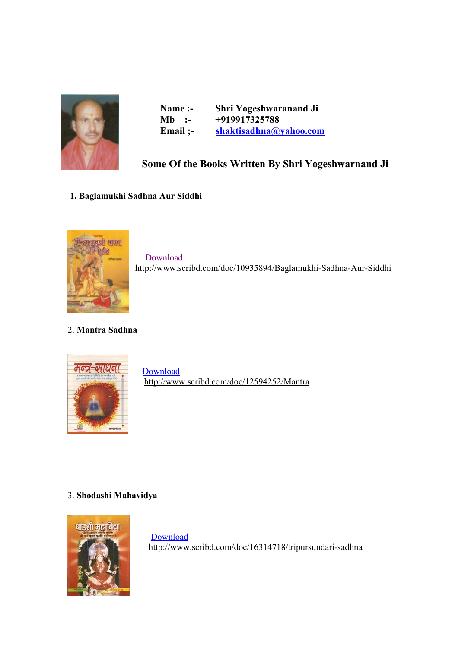

| Name :-                        | <b>Shri Yogeshwaranand Ji</b> |
|--------------------------------|-------------------------------|
| Mb.<br>$\cdot$ $\cdot$ $\cdot$ | +919917325788                 |
| Email $:-$                     | shaktisadhna@yahoo.com        |

#### **Some Of the Books Written By Shri Yogeshwarnand Ji**

#### **1. Baglamukhi Sadhna Aur Siddhi**



Download <http://www.scribd.com/doc/10935894/Baglamukhi-Sadhna-Aur-Siddhi>

#### 2. **Mantra Sadhna**



<http://www.scribd.com/doc/12594252/Mantra>

#### 3. **Shodashi Mahavidya**



 Download <http://www.scribd.com/doc/16314718/tripursundari-sadhna>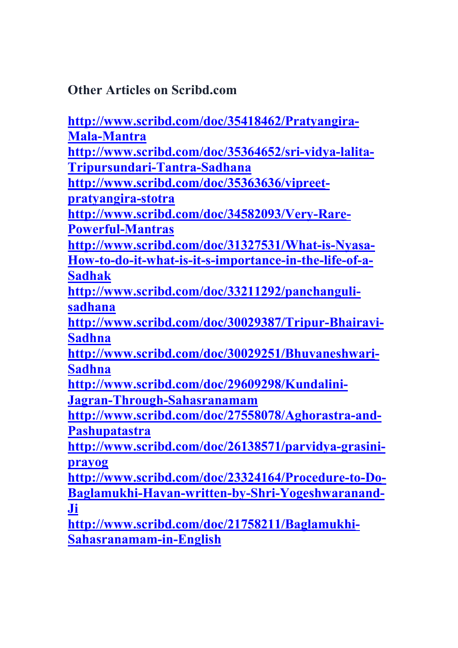**Other Articles on Scribd.com** 

**[http://www.scribd.com/doc/35418462/Pratyangira-](http://www.scribd.com/doc/35418462/Pratyangira)Mala-Mantra <http://www.scribd.com/doc/35364652/sri-vidya-lalita>-Tripursundari-Tantra-Sadhana <http://www.scribd.com/doc/35363636/vipreet>pratyangira-stotra <http://www.scribd.com/doc/34582093/Very-Rare>-Powerful-Mantras <http://www.scribd.com/doc/31327531/What-is-Nyasa>-How-to-do-it-what-is-it-s-importance-in-the-life-of-a-Sadhak <http://www.scribd.com/doc/33211292/panchanguli>sadhana [http://www.scribd.com/doc/30029387/Tripur-Bhairavi-](http://www.scribd.com/doc/30029387/Tripur-Bhairavi)Sadhna <http://www.scribd.com/doc/30029251/Bhuvaneshwari>-Sadhna <http://www.scribd.com/doc/29609298/Kundalini>-Jagran-Through-Sahasranamam [http://www.scribd.com/doc/27558078/Aghorastra-and-](http://www.scribd.com/doc/27558078/Aghorastra-and)Pashupatastra <http://www.scribd.com/doc/26138571/parvidya-grasini>prayog [http://www.scribd.com/doc/23324164/Procedure-to-Do-](http://www.scribd.com/doc/23324164/Procedure-to-Do)Baglamukhi-Havan-written-by-Shri-Yogeshwaranand-Ji [http://www.scribd.com/doc/21758211/Baglamukhi-](http://www.scribd.com/doc/21758211/Baglamukhi)Sahasranamam-in-English**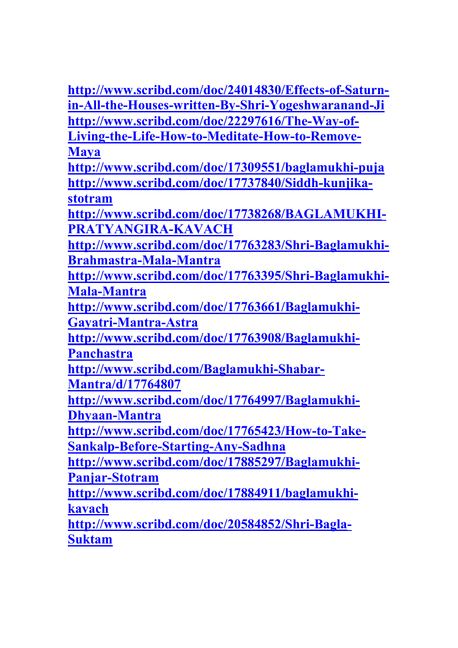**<http://www.scribd.com/doc/24014830/Effects-of-Saturn>in-All-the-Houses-written-By-Shri-Yogeshwaranand-Ji [http://www.scribd.com/doc/22297616/The-Way-of-](http://www.scribd.com/doc/22297616/The-Way-of)Living-the-Life-How-to-Meditate-How-to-Remove-Maya <http://www.scribd.com/doc/17309551/baglamukhi-puja> <http://www.scribd.com/doc/17737840/Siddh-kunjika>stotram [http://www.scribd.com/doc/17738268/BAGLAMUKHI-](http://www.scribd.com/doc/17738268/BAGLAMUKHI)PRATYANGIRA-KAVACH [http://www.scribd.com/doc/17763283/Shri-Baglamukhi-](http://www.scribd.com/doc/17763283/Shri-Baglamukhi)Brahmastra-Mala-Mantra [http://www.scribd.com/doc/17763395/Shri-Baglamukhi-](http://www.scribd.com/doc/17763395/Shri-Baglamukhi)Mala-Mantra [http://www.scribd.com/doc/17763661/Baglamukhi-](http://www.scribd.com/doc/17763661/Baglamukhi)Gayatri-Mantra-Astra [http://www.scribd.com/doc/17763908/Baglamukhi-](http://www.scribd.com/doc/17763908/Baglamukhi)Panchastra [http://www.scribd.com/Baglamukhi-Shabar-](http://www.scribd.com/Baglamukhi-Shabar)Mantra/d/17764807 [http://www.scribd.com/doc/17764997/Baglamukhi-](http://www.scribd.com/doc/17764997/Baglamukhi)Dhyaan-Mantra [http://www.scribd.com/doc/17765423/How-to-Take-](http://www.scribd.com/doc/17765423/How-to-Take)Sankalp-Before-Starting-Any-Sadhna [http://www.scribd.com/doc/17885297/Baglamukhi-](http://www.scribd.com/doc/17885297/Baglamukhi)Panjar-Stotram <http://www.scribd.com/doc/17884911/baglamukhi>kavach <http://www.scribd.com/doc/20584852/Shri-Bagla>-Suktam**